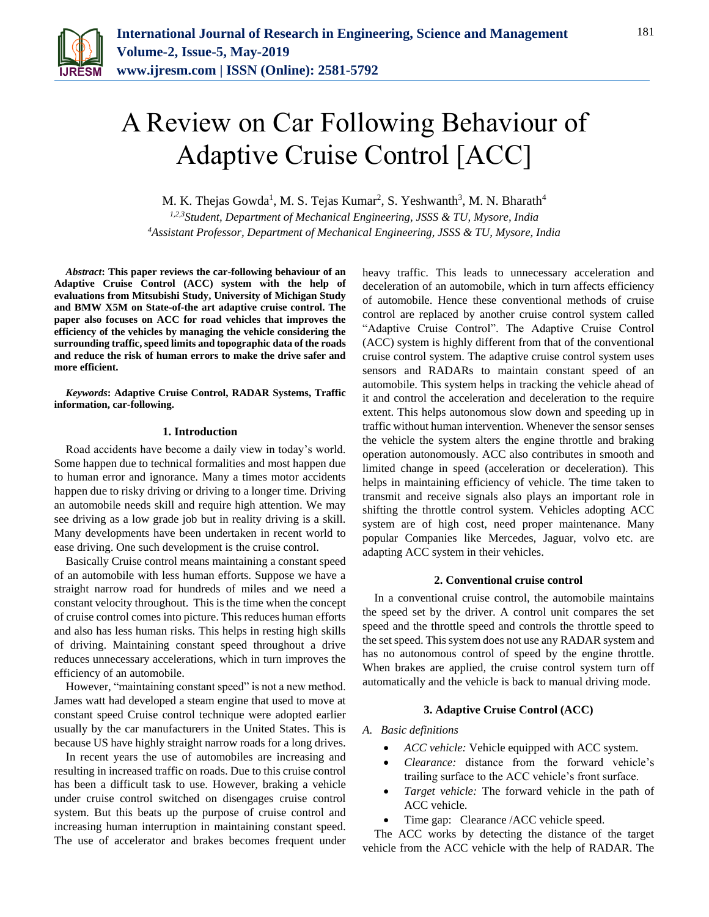

# A Review on Car Following Behaviour of Adaptive Cruise Control [ACC]

M. K. Thejas Gowda<sup>1</sup>, M. S. Tejas Kumar<sup>2</sup>, S. Yeshwanth<sup>3</sup>, M. N. Bharath<sup>4</sup>

*1,2,3Student, Department of Mechanical Engineering, JSSS & TU, Mysore, India 4Assistant Professor, Department of Mechanical Engineering, JSSS & TU, Mysore, India*

*Abstract***: This paper reviews the car-following behaviour of an Adaptive Cruise Control (ACC) system with the help of evaluations from Mitsubishi Study, University of Michigan Study and BMW X5M on State-of-the art adaptive cruise control. The paper also focuses on ACC for road vehicles that improves the efficiency of the vehicles by managing the vehicle considering the surrounding traffic, speed limits and topographic data of the roads and reduce the risk of human errors to make the drive safer and more efficient.**

*Keywords***: Adaptive Cruise Control, RADAR Systems, Traffic information, car-following.**

### **1. Introduction**

Road accidents have become a daily view in today's world. Some happen due to technical formalities and most happen due to human error and ignorance. Many a times motor accidents happen due to risky driving or driving to a longer time. Driving an automobile needs skill and require high attention. We may see driving as a low grade job but in reality driving is a skill. Many developments have been undertaken in recent world to ease driving. One such development is the cruise control.

Basically Cruise control means maintaining a constant speed of an automobile with less human efforts. Suppose we have a straight narrow road for hundreds of miles and we need a constant velocity throughout. This is the time when the concept of cruise control comes into picture. This reduces human efforts and also has less human risks. This helps in resting high skills of driving. Maintaining constant speed throughout a drive reduces unnecessary accelerations, which in turn improves the efficiency of an automobile.

However, "maintaining constant speed" is not a new method. James watt had developed a steam engine that used to move at constant speed Cruise control technique were adopted earlier usually by the car manufacturers in the United States. This is because US have highly straight narrow roads for a long drives.

In recent years the use of automobiles are increasing and resulting in increased traffic on roads. Due to this cruise control has been a difficult task to use. However, braking a vehicle under cruise control switched on disengages cruise control system. But this beats up the purpose of cruise control and increasing human interruption in maintaining constant speed. The use of accelerator and brakes becomes frequent under heavy traffic. This leads to unnecessary acceleration and deceleration of an automobile, which in turn affects efficiency of automobile. Hence these conventional methods of cruise control are replaced by another cruise control system called "Adaptive Cruise Control". The Adaptive Cruise Control (ACC) system is highly different from that of the conventional cruise control system. The adaptive cruise control system uses sensors and RADARs to maintain constant speed of an automobile. This system helps in tracking the vehicle ahead of it and control the acceleration and deceleration to the require extent. This helps autonomous slow down and speeding up in traffic without human intervention. Whenever the sensor senses the vehicle the system alters the engine throttle and braking operation autonomously. ACC also contributes in smooth and limited change in speed (acceleration or deceleration). This helps in maintaining efficiency of vehicle. The time taken to transmit and receive signals also plays an important role in shifting the throttle control system. Vehicles adopting ACC system are of high cost, need proper maintenance. Many popular Companies like Mercedes, Jaguar, volvo etc. are adapting ACC system in their vehicles.

#### **2. Conventional cruise control**

In a conventional cruise control, the automobile maintains the speed set by the driver. A control unit compares the set speed and the throttle speed and controls the throttle speed to the set speed. This system does not use any RADAR system and has no autonomous control of speed by the engine throttle. When brakes are applied, the cruise control system turn off automatically and the vehicle is back to manual driving mode.

## **3. Adaptive Cruise Control (ACC)**

*A. Basic definitions*

- *ACC vehicle:* Vehicle equipped with ACC system.
- *Clearance:* distance from the forward vehicle's trailing surface to the ACC vehicle's front surface.
- *Target vehicle:* The forward vehicle in the path of ACC vehicle.
- Time gap: Clearance /ACC vehicle speed.

The ACC works by detecting the distance of the target vehicle from the ACC vehicle with the help of RADAR. The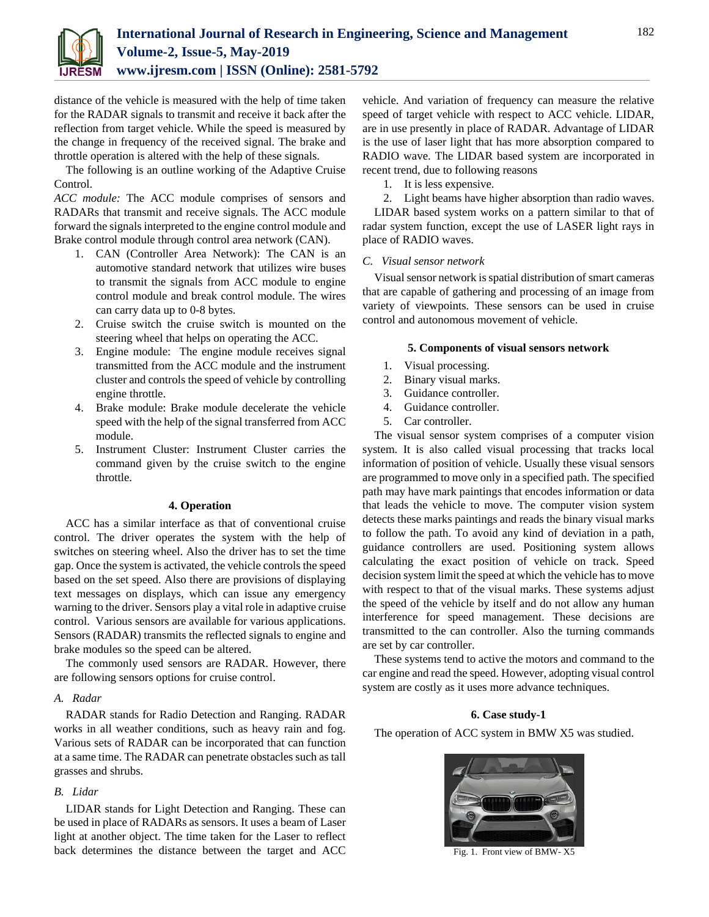

distance of the vehicle is measured with the help of time taken for the RADAR signals to transmit and receive it back after the reflection from target vehicle. While the speed is measured by the change in frequency of the received signal. The brake and throttle operation is altered with the help of these signals.

The following is an outline working of the Adaptive Cruise Control.

*ACC module:* The ACC module comprises of sensors and RADARs that transmit and receive signals. The ACC module forward the signals interpreted to the engine control module and Brake control module through control area network (CAN).

- 1. CAN (Controller Area Network): The CAN is an automotive standard network that utilizes wire buses to transmit the signals from ACC module to engine control module and break control module. The wires can carry data up to 0-8 bytes.
- 2. Cruise switch the cruise switch is mounted on the steering wheel that helps on operating the ACC.
- 3. Engine module: The engine module receives signal transmitted from the ACC module and the instrument cluster and controls the speed of vehicle by controlling engine throttle.
- 4. Brake module: Brake module decelerate the vehicle speed with the help of the signal transferred from ACC module.
- 5. Instrument Cluster: Instrument Cluster carries the command given by the cruise switch to the engine throttle.

## **4. Operation**

ACC has a similar interface as that of conventional cruise control. The driver operates the system with the help of switches on steering wheel. Also the driver has to set the time gap. Once the system is activated, the vehicle controls the speed based on the set speed. Also there are provisions of displaying text messages on displays, which can issue any emergency warning to the driver. Sensors play a vital role in adaptive cruise control. Various sensors are available for various applications. Sensors (RADAR) transmits the reflected signals to engine and brake modules so the speed can be altered.

The commonly used sensors are RADAR. However, there are following sensors options for cruise control.

#### *A. Radar*

RADAR stands for Radio Detection and Ranging. RADAR works in all weather conditions, such as heavy rain and fog. Various sets of RADAR can be incorporated that can function at a same time. The RADAR can penetrate obstacles such as tall grasses and shrubs.

## *B. Lidar*

LIDAR stands for Light Detection and Ranging. These can be used in place of RADARs as sensors. It uses a beam of Laser light at another object. The time taken for the Laser to reflect back determines the distance between the target and ACC vehicle. And variation of frequency can measure the relative speed of target vehicle with respect to ACC vehicle. LIDAR, are in use presently in place of RADAR. Advantage of LIDAR is the use of laser light that has more absorption compared to RADIO wave. The LIDAR based system are incorporated in recent trend, due to following reasons

1. It is less expensive.

2. Light beams have higher absorption than radio waves.

LIDAR based system works on a pattern similar to that of radar system function, except the use of LASER light rays in place of RADIO waves.

#### *C. Visual sensor network*

Visual sensor network is spatial distribution of smart cameras that are capable of gathering and processing of an image from variety of viewpoints. These sensors can be used in cruise control and autonomous movement of vehicle.

#### **5. Components of visual sensors network**

- 1. Visual processing.
- 2. Binary visual marks.
- 3. Guidance controller.
- 4. Guidance controller.
- 5. Car controller.

The visual sensor system comprises of a computer vision system. It is also called visual processing that tracks local information of position of vehicle. Usually these visual sensors are programmed to move only in a specified path. The specified path may have mark paintings that encodes information or data that leads the vehicle to move. The computer vision system detects these marks paintings and reads the binary visual marks to follow the path. To avoid any kind of deviation in a path, guidance controllers are used. Positioning system allows calculating the exact position of vehicle on track. Speed decision system limit the speed at which the vehicle has to move with respect to that of the visual marks. These systems adjust the speed of the vehicle by itself and do not allow any human interference for speed management. These decisions are transmitted to the can controller. Also the turning commands are set by car controller.

These systems tend to active the motors and command to the car engine and read the speed. However, adopting visual control system are costly as it uses more advance techniques.

## **6. Case study-1**

The operation of ACC system in BMW X5 was studied.



Fig. 1. Front view of BMW- X5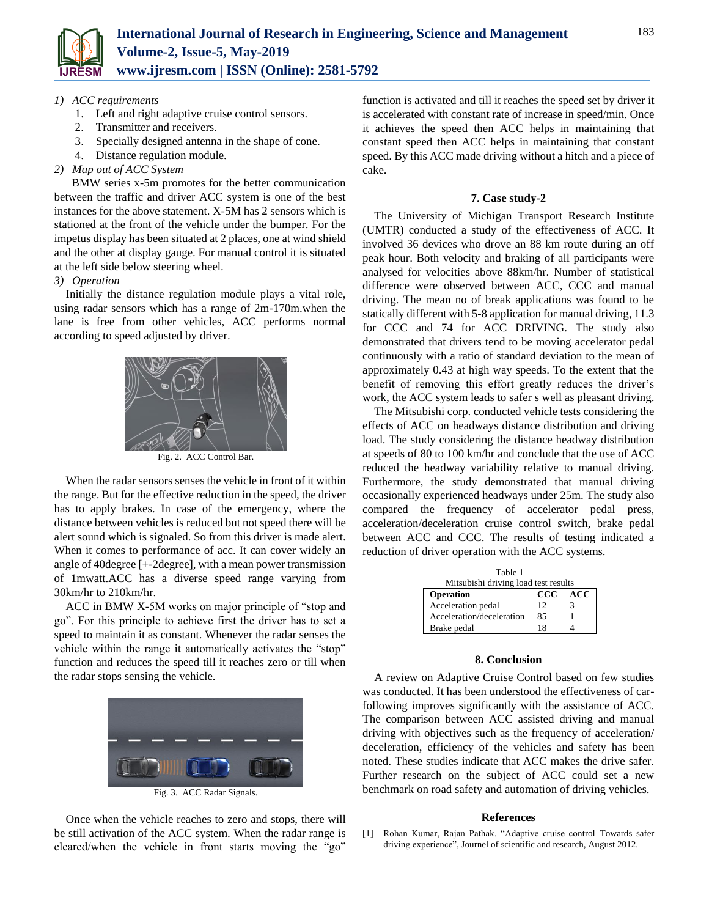

## *1) ACC requirements*

- 1. Left and right adaptive cruise control sensors.
- 2. Transmitter and receivers.
- 3. Specially designed antenna in the shape of cone.
- 4. Distance regulation module.
- *2) Map out of ACC System*

 BMW series x-5m promotes for the better communication between the traffic and driver ACC system is one of the best instances for the above statement. X-5M has 2 sensors which is stationed at the front of the vehicle under the bumper. For the impetus display has been situated at 2 places, one at wind shield and the other at display gauge. For manual control it is situated at the left side below steering wheel.

## *3) Operation*

Initially the distance regulation module plays a vital role, using radar sensors which has a range of 2m-170m.when the lane is free from other vehicles, ACC performs normal according to speed adjusted by driver.



Fig. 2. ACC Control Bar.

When the radar sensors senses the vehicle in front of it within the range. But for the effective reduction in the speed, the driver has to apply brakes. In case of the emergency, where the distance between vehicles is reduced but not speed there will be alert sound which is signaled. So from this driver is made alert. When it comes to performance of acc. It can cover widely an angle of 40degree [+-2degree], with a mean power transmission of 1mwatt.ACC has a diverse speed range varying from 30km/hr to 210km/hr.

ACC in BMW X-5M works on major principle of "stop and go". For this principle to achieve first the driver has to set a speed to maintain it as constant. Whenever the radar senses the vehicle within the range it automatically activates the "stop" function and reduces the speed till it reaches zero or till when the radar stops sensing the vehicle.



Fig. 3. ACC Radar Signals.

Once when the vehicle reaches to zero and stops, there will be still activation of the ACC system. When the radar range is cleared/when the vehicle in front starts moving the "go" function is activated and till it reaches the speed set by driver it is accelerated with constant rate of increase in speed/min. Once it achieves the speed then ACC helps in maintaining that constant speed then ACC helps in maintaining that constant speed. By this ACC made driving without a hitch and a piece of cake.

#### **7. Case study-2**

The University of Michigan Transport Research Institute (UMTR) conducted a study of the effectiveness of ACC. It involved 36 devices who drove an 88 km route during an off peak hour. Both velocity and braking of all participants were analysed for velocities above 88km/hr. Number of statistical difference were observed between ACC, CCC and manual driving. The mean no of break applications was found to be statically different with 5-8 application for manual driving, 11.3 for CCC and 74 for ACC DRIVING. The study also demonstrated that drivers tend to be moving accelerator pedal continuously with a ratio of standard deviation to the mean of approximately 0.43 at high way speeds. To the extent that the benefit of removing this effort greatly reduces the driver's work, the ACC system leads to safer s well as pleasant driving.

The Mitsubishi corp. conducted vehicle tests considering the effects of ACC on headways distance distribution and driving load. The study considering the distance headway distribution at speeds of 80 to 100 km/hr and conclude that the use of ACC reduced the headway variability relative to manual driving. Furthermore, the study demonstrated that manual driving occasionally experienced headways under 25m. The study also compared the frequency of accelerator pedal press, acceleration/deceleration cruise control switch, brake pedal between ACC and CCC. The results of testing indicated a reduction of driver operation with the ACC systems.

| Table 1                              |     |            |
|--------------------------------------|-----|------------|
| Mitsubishi driving load test results |     |            |
| Operation                            | ccc | <b>ACC</b> |
| Acceleration pedal                   | 12  |            |
| Acceleration/deceleration            | 85  |            |
| Brake pedal                          | 18  |            |

#### **8. Conclusion**

A review on Adaptive Cruise Control based on few studies was conducted. It has been understood the effectiveness of carfollowing improves significantly with the assistance of ACC. The comparison between ACC assisted driving and manual driving with objectives such as the frequency of acceleration/ deceleration, efficiency of the vehicles and safety has been noted. These studies indicate that ACC makes the drive safer. Further research on the subject of ACC could set a new benchmark on road safety and automation of driving vehicles.

#### **References**

[1] Rohan Kumar, Rajan Pathak. "Adaptive cruise control–Towards safer driving experience", Journel of scientific and research, August 2012.